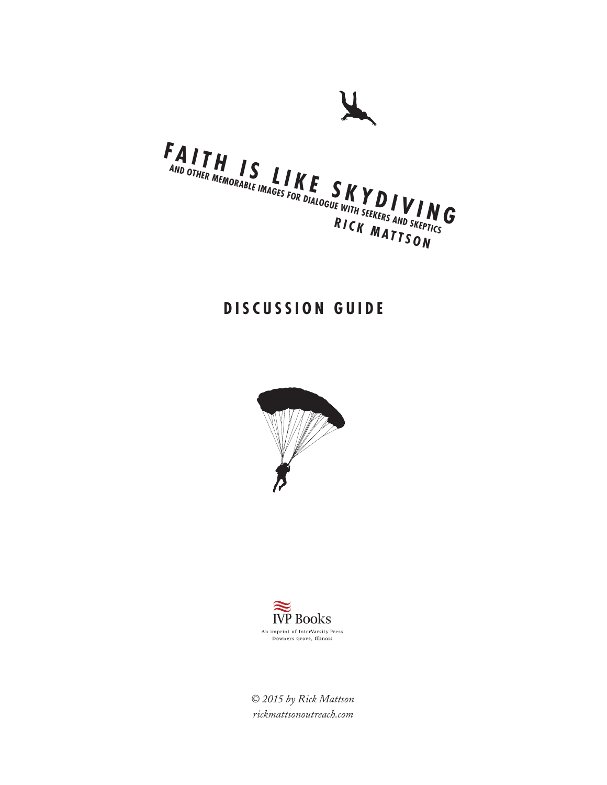

# **DISCUSSION GUIDE**





*© 2015 by Rick Mattson rickmattsonoutreach.com*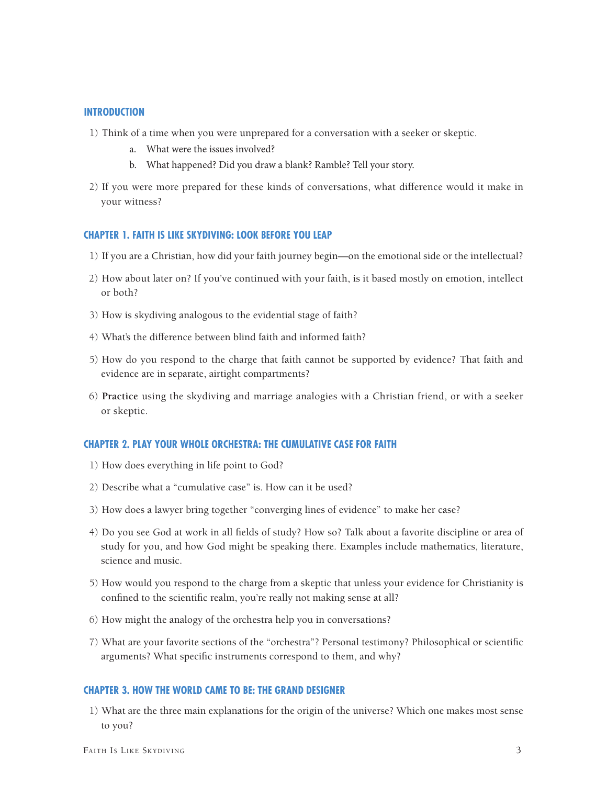#### **INTRODUCTION**

- 1) Think of a time when you were unprepared for a conversation with a seeker or skeptic.
	- a. What were the issues involved?
	- b. What happened? Did you draw a blank? Ramble? Tell your story.
- 2) If you were more prepared for these kinds of conversations, what difference would it make in your witness?

#### **CHAPTER 1. FAITH IS LIKE SKYDIVING: LOOK BEFORE YOU LEAP**

- 1) If you are a Christian, how did your faith journey begin—on the emotional side or the intellectual?
- 2) How about later on? If you've continued with your faith, is it based mostly on emotion, intellect or both?
- 3) How is skydiving analogous to the evidential stage of faith?
- 4) What's the difference between blind faith and informed faith?
- 5) How do you respond to the charge that faith cannot be supported by evidence? That faith and evidence are in separate, airtight compartments?
- 6) **Practice** using the skydiving and marriage analogies with a Christian friend, or with a seeker or skeptic.

## **CHAPTER 2. PLAY YOUR WHOLE ORCHESTRA: THE CUMULATIVE CASE FOR FAITH**

- 1) How does everything in life point to God?
- 2) Describe what a "cumulative case" is. How can it be used?
- 3) How does a lawyer bring together "converging lines of evidence" to make her case?
- 4) Do you see God at work in all fields of study? How so? Talk about a favorite discipline or area of study for you, and how God might be speaking there. Examples include mathematics, literature, science and music.
- 5) How would you respond to the charge from a skeptic that unless your evidence for Christianity is confined to the scientific realm, you're really not making sense at all?
- 6) How might the analogy of the orchestra help you in conversations?
- 7) What are your favorite sections of the "orchestra"? Personal testimony? Philosophical or scientific arguments? What specific instruments correspond to them, and why?

## **CHAPTER 3. HOW THE WORLD CAME TO BE: THE GRAND DESIGNER**

1) What are the three main explanations for the origin of the universe? Which one makes most sense to you?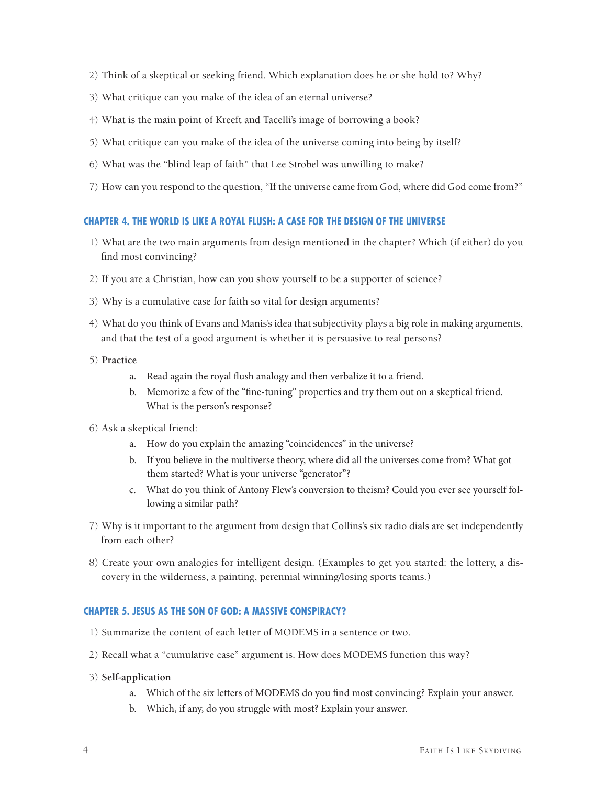- 2) Think of a skeptical or seeking friend. Which explanation does he or she hold to? Why?
- 3) What critique can you make of the idea of an eternal universe?
- 4) What is the main point of Kreeft and Tacelli's image of borrowing a book?
- 5) What critique can you make of the idea of the universe coming into being by itself?
- 6) What was the "blind leap of faith" that Lee Strobel was unwilling to make?
- 7) How can you respond to the question, "If the universe came from God, where did God come from?"

# **CHAPTER 4. THE WORLD IS LIKE A ROYAL FLUSH: A CASE FOR THE DESIGN OF THE UNIVERSE**

- 1) What are the two main arguments from design mentioned in the chapter? Which (if either) do you find most convincing?
- 2) If you are a Christian, how can you show yourself to be a supporter of science?
- 3) Why is a cumulative case for faith so vital for design arguments?
- 4) What do you think of Evans and Manis's idea that subjectivity plays a big role in making arguments, and that the test of a good argument is whether it is persuasive to real persons?
- 5) **Practice**
	- a. Read again the royal flush analogy and then verbalize it to a friend.
	- b. Memorize a few of the "fine-tuning" properties and try them out on a skeptical friend. What is the person's response?
- 6) Ask a skeptical friend:
	- a. How do you explain the amazing "coincidences" in the universe?
	- b. If you believe in the multiverse theory, where did all the universes come from? What got them started? What is your universe "generator"?
	- c. What do you think of Antony Flew's conversion to theism? Could you ever see yourself following a similar path?
- 7) Why is it important to the argument from design that Collins's six radio dials are set independently from each other?
- 8) Create your own analogies for intelligent design. (Examples to get you started: the lottery, a discovery in the wilderness, a painting, perennial winning/losing sports teams.)

# **CHAPTER 5. JESUS AS THE SON OF GOD: A MASSIVE CONSPIRACY?**

- 1) Summarize the content of each letter of MODEMS in a sentence or two.
- 2) Recall what a "cumulative case" argument is. How does MODEMS function this way?
- 3) **Self-application**
	- a. Which of the six letters of MODEMS do you find most convincing? Explain your answer.
	- b. Which, if any, do you struggle with most? Explain your answer.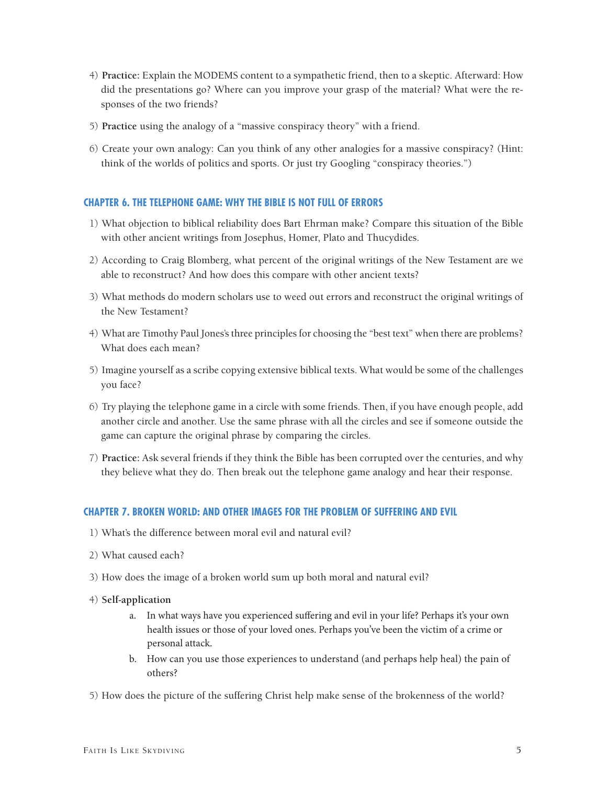- 4) **Practice:** Explain the MODEMS content to a sympathetic friend, then to a skeptic. Afterward: How did the presentations go? Where can you improve your grasp of the material? What were the responses of the two friends?
- 5) **Practice** using the analogy of a "massive conspiracy theory" with a friend.
- 6) Create your own analogy: Can you think of any other analogies for a massive conspiracy? (Hint: think of the worlds of politics and sports. Or just try Googling "conspiracy theories.")

# **CHAPTER 6. THE TELEPHONE GAME: WHY THE BIBLE IS NOT FULL OF ERRORS**

- 1) What objection to biblical reliability does Bart Ehrman make? Compare this situation of the Bible with other ancient writings from Josephus, Homer, Plato and Thucydides.
- 2) According to Craig Blomberg, what percent of the original writings of the New Testament are we able to reconstruct? And how does this compare with other ancient texts?
- 3) What methods do modern scholars use to weed out errors and reconstruct the original writings of the New Testament?
- 4) What are Timothy Paul Jones's three principles for choosing the "best text" when there are problems? What does each mean?
- 5) Imagine yourself as a scribe copying extensive biblical texts. What would be some of the challenges you face?
- 6) Try playing the telephone game in a circle with some friends. Then, if you have enough people, add another circle and another. Use the same phrase with all the circles and see if someone outside the game can capture the original phrase by comparing the circles.
- 7) **Practice:** Ask several friends if they think the Bible has been corrupted over the centuries, and why they believe what they do. Then break out the telephone game analogy and hear their response.

## **CHAPTER 7. BROKEN WORLD: AND OTHER IMAGES FOR THE PROBLEM OF SUFFERING AND EVIL**

- 1) What's the difference between moral evil and natural evil?
- 2) What caused each?
- 3) How does the image of a broken world sum up both moral and natural evil?
- 4) **Self-application**
	- a. In what ways have you experienced suffering and evil in your life? Perhaps it's your own health issues or those of your loved ones. Perhaps you've been the victim of a crime or personal attack.
	- b. How can you use those experiences to understand (and perhaps help heal) the pain of others?
- 5) How does the picture of the suffering Christ help make sense of the brokenness of the world?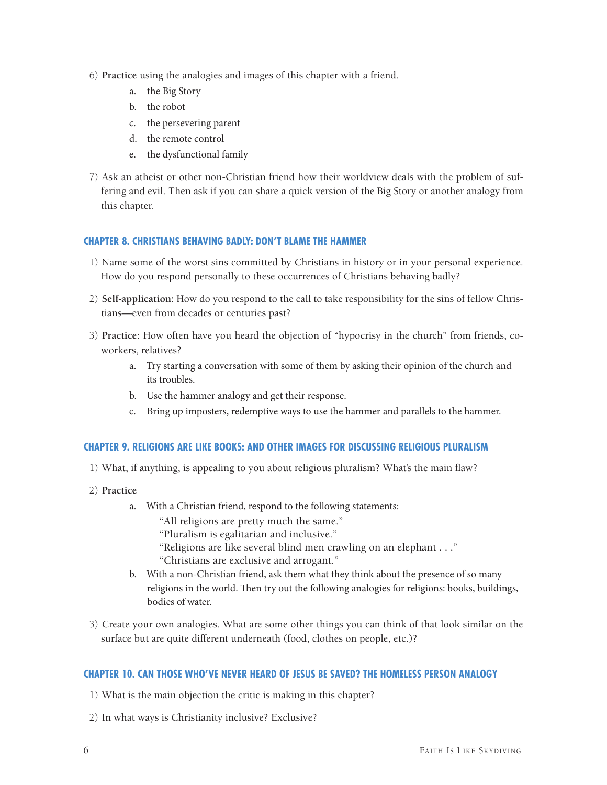- 6) **Practice** using the analogies and images of this chapter with a friend.
	- a. the Big Story
	- b. the robot
	- c. the persevering parent
	- d. the remote control
	- e. the dysfunctional family
- 7) Ask an atheist or other non-Christian friend how their worldview deals with the problem of suffering and evil. Then ask if you can share a quick version of the Big Story or another analogy from this chapter.

# **CHAPTER 8. CHRISTIANS BEHAVING BADLY: DON'T BLAME THE HAMMER**

- 1) Name some of the worst sins committed by Christians in history or in your personal experience. How do you respond personally to these occurrences of Christians behaving badly?
- 2) **Self-application:** How do you respond to the call to take responsibility for the sins of fellow Christians—even from decades or centuries past?
- 3) **Practice:** How often have you heard the objection of "hypocrisy in the church" from friends, coworkers, relatives?
	- a. Try starting a conversation with some of them by asking their opinion of the church and its troubles.
	- b. Use the hammer analogy and get their response.
	- c. Bring up imposters, redemptive ways to use the hammer and parallels to the hammer.

## **CHAPTER 9. RELIGIONS ARE LIKE BOOKS: AND OTHER IMAGES FOR DISCUSSING RELIGIOUS PLURALISM**

- 1) What, if anything, is appealing to you about religious pluralism? What's the main flaw?
- 2) **Practice**
	- a. With a Christian friend, respond to the following statements:
		- "All religions are pretty much the same."
		- "Pluralism is egalitarian and inclusive."
		- "Religions are like several blind men crawling on an elephant . . ."
		- "Christians are exclusive and arrogant."
	- b. With a non-Christian friend, ask them what they think about the presence of so many religions in the world. Then try out the following analogies for religions: books, buildings, bodies of water.
- 3) Create your own analogies. What are some other things you can think of that look similar on the surface but are quite different underneath (food, clothes on people, etc.)?

## **CHAPTER 10. CAN THOSE WHO'VE NEVER HEARD OF JESUS BE SAVED? THE HOMELESS PERSON ANALOGY**

- 1) What is the main objection the critic is making in this chapter?
- 2) In what ways is Christianity inclusive? Exclusive?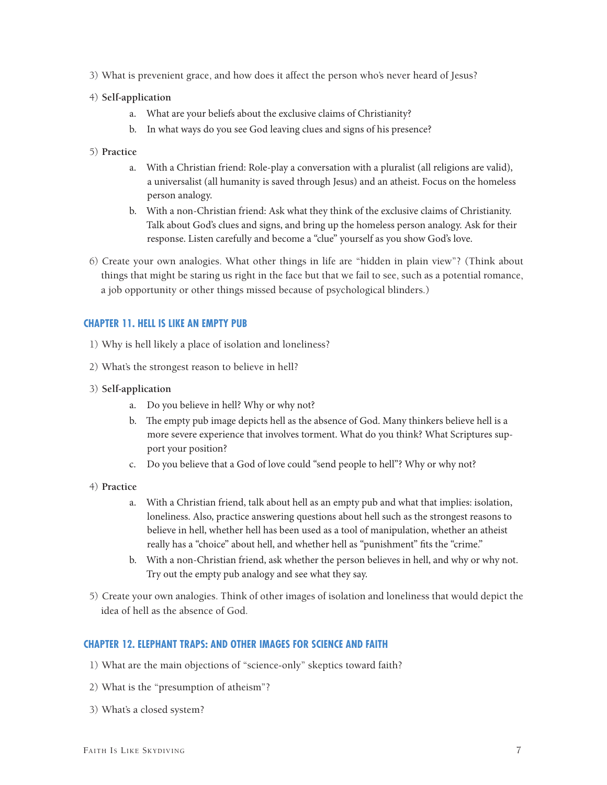3) What is prevenient grace, and how does it affect the person who's never heard of Jesus?

## 4) **Self-application**

- a. What are your beliefs about the exclusive claims of Christianity?
- b. In what ways do you see God leaving clues and signs of his presence?

## 5) **Practice**

- a. With a Christian friend: Role-play a conversation with a pluralist (all religions are valid), a universalist (all humanity is saved through Jesus) and an atheist. Focus on the homeless person analogy.
- b. With a non-Christian friend: Ask what they think of the exclusive claims of Christianity. Talk about God's clues and signs, and bring up the homeless person analogy. Ask for their response. Listen carefully and become a "clue" yourself as you show God's love.
- 6) Create your own analogies. What other things in life are "hidden in plain view"? (Think about things that might be staring us right in the face but that we fail to see, such as a potential romance, a job opportunity or other things missed because of psychological blinders.)

## **CHAPTER 11. HELL IS LIKE AN EMPTY PUB**

- 1) Why is hell likely a place of isolation and loneliness?
- 2) What's the strongest reason to believe in hell?
- 3) **Self-application**
	- a. Do you believe in hell? Why or why not?
	- b. The empty pub image depicts hell as the absence of God. Many thinkers believe hell is a more severe experience that involves torment. What do you think? What Scriptures support your position?
	- c. Do you believe that a God of love could "send people to hell"? Why or why not?
- 4) **Practice**
	- a. With a Christian friend, talk about hell as an empty pub and what that implies: isolation, loneliness. Also, practice answering questions about hell such as the strongest reasons to believe in hell, whether hell has been used as a tool of manipulation, whether an atheist really has a "choice" about hell, and whether hell as "punishment" fits the "crime."
	- b. With a non-Christian friend, ask whether the person believes in hell, and why or why not. Try out the empty pub analogy and see what they say.
- 5) Create your own analogies. Think of other images of isolation and loneliness that would depict the idea of hell as the absence of God.

## **CHAPTER 12. ELEPHANT TRAPS: AND OTHER IMAGES FOR SCIENCE AND FAITH**

- 1) What are the main objections of "science-only" skeptics toward faith?
- 2) What is the "presumption of atheism"?
- 3) What's a closed system?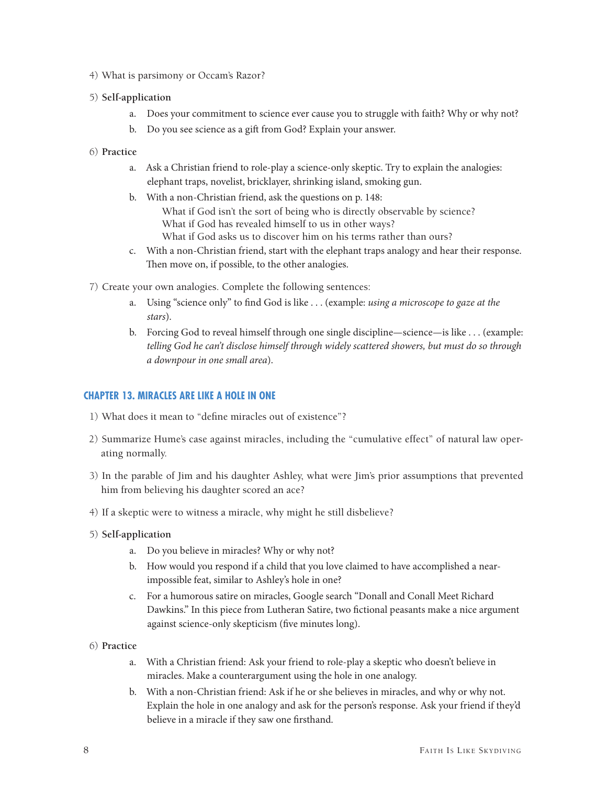- 4) What is parsimony or Occam's Razor?
- 5) **Self-application**
	- a. Does your commitment to science ever cause you to struggle with faith? Why or why not?
	- b. Do you see science as a gift from God? Explain your answer.
- 6) **Practice**
	- a. Ask a Christian friend to role-play a science-only skeptic. Try to explain the analogies: elephant traps, novelist, bricklayer, shrinking island, smoking gun.
	- b. With a non-Christian friend, ask the questions on p. 148: What if God isn't the sort of being who is directly observable by science? What if God has revealed himself to us in other ways? What if God asks us to discover him on his terms rather than ours?
	- c. With a non-Christian friend, start with the elephant traps analogy and hear their response. Then move on, if possible, to the other analogies.
- 7) Create your own analogies. Complete the following sentences:
	- a. Using "science only" to find God is like . . . (example: *using a microscope to gaze at the stars*).
	- b. Forcing God to reveal himself through one single discipline—science—is like . . . (example: *telling God he can't disclose himself through widely scattered showers, but must do so through a downpour in one small area*).

# **CHAPTER 13. MIRACLES ARE LIKE A HOLE IN ONE**

- 1) What does it mean to "define miracles out of existence"?
- 2) Summarize Hume's case against miracles, including the "cumulative effect" of natural law operating normally.
- 3) In the parable of Jim and his daughter Ashley, what were Jim's prior assumptions that prevented him from believing his daughter scored an ace?
- 4) If a skeptic were to witness a miracle, why might he still disbelieve?
- 5) **Self-application**
	- a. Do you believe in miracles? Why or why not?
	- b. How would you respond if a child that you love claimed to have accomplished a nearimpossible feat, similar to Ashley's hole in one?
	- c. For a humorous satire on miracles, Google search "Donall and Conall Meet Richard Dawkins." In this piece from Lutheran Satire, two fictional peasants make a nice argument against science-only skepticism (five minutes long).
- 6) **Practice**
	- a. With a Christian friend: Ask your friend to role-play a skeptic who doesn't believe in miracles. Make a counterargument using the hole in one analogy.
	- b. With a non-Christian friend: Ask if he or she believes in miracles, and why or why not. Explain the hole in one analogy and ask for the person's response. Ask your friend if they'd believe in a miracle if they saw one firsthand.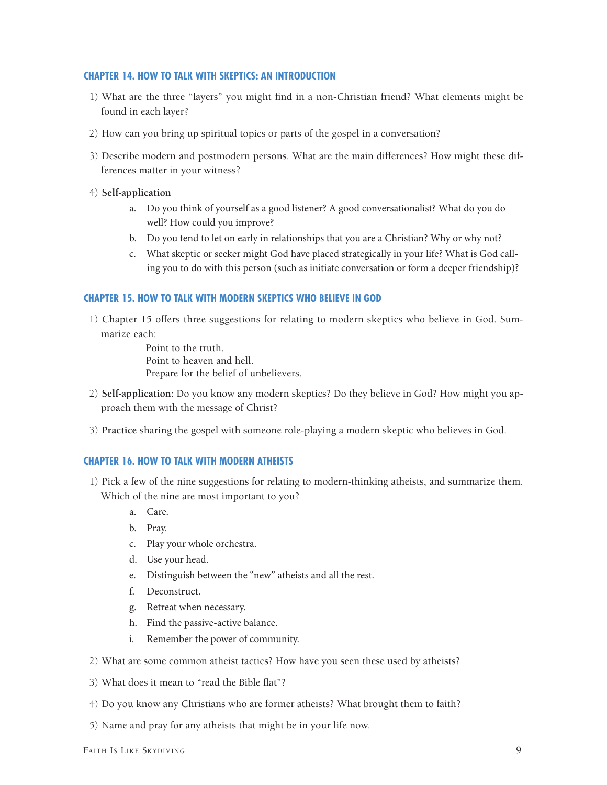# **CHAPTER 14. HOW TO TALK WITH SKEPTICS: AN INTRODUCTION**

- 1) What are the three "layers" you might find in a non-Christian friend? What elements might be found in each layer?
- 2) How can you bring up spiritual topics or parts of the gospel in a conversation?
- 3) Describe modern and postmodern persons. What are the main differences? How might these differences matter in your witness?
- 4) **Self-application**
	- a. Do you think of yourself as a good listener? A good conversationalist? What do you do well? How could you improve?
	- b. Do you tend to let on early in relationships that you are a Christian? Why or why not?
	- c. What skeptic or seeker might God have placed strategically in your life? What is God calling you to do with this person (such as initiate conversation or form a deeper friendship)?

## **CHAPTER 15. HOW TO TALK WITH MODERN SKEPTICS WHO BELIEVE IN GOD**

1) Chapter 15 offers three suggestions for relating to modern skeptics who believe in God. Summarize each:

> Point to the truth. Point to heaven and hell. Prepare for the belief of unbelievers.

- 2) **Self-application:** Do you know any modern skeptics? Do they believe in God? How might you approach them with the message of Christ?
- 3) **Practice** sharing the gospel with someone role-playing a modern skeptic who believes in God.

# **CHAPTER 16. HOW TO TALK WITH MODERN ATHEISTS**

- 1) Pick a few of the nine suggestions for relating to modern-thinking atheists, and summarize them. Which of the nine are most important to you?
	- a. Care.
	- b. Pray.
	- c. Play your whole orchestra.
	- d. Use your head.
	- e. Distinguish between the "new" atheists and all the rest.
	- f. Deconstruct.
	- g. Retreat when necessary.
	- h. Find the passive-active balance.
	- i. Remember the power of community.
- 2) What are some common atheist tactics? How have you seen these used by atheists?
- 3) What does it mean to "read the Bible flat"?
- 4) Do you know any Christians who are former atheists? What brought them to faith?
- 5) Name and pray for any atheists that might be in your life now.